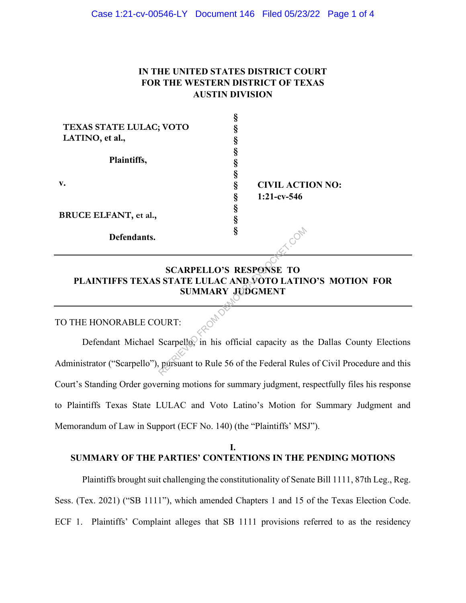## **IN THE UNITED STATES DISTRICT COURT FOR THE WESTERN DISTRICT OF TEXAS AUSTIN DIVISION**

| TEXAS STATE LULAC; VOTO |   |                         |  |
|-------------------------|---|-------------------------|--|
| LATINO, et al.,         |   |                         |  |
| Plaintiffs,             |   |                         |  |
|                         |   |                         |  |
| v.                      |   |                         |  |
|                         |   | <b>CIVIL ACTION NO:</b> |  |
|                         |   | $1:21-cv-546$           |  |
| BRUCE ELFANT, et al.,   |   |                         |  |
| Defendants.             | 5 |                         |  |
|                         |   |                         |  |

## **SCARPELLO'S RESPONSE TO PLAINTIFFS TEXAS STATE LULAC AND VOTO LATINO'S MOTION FOR SUMMARY JUDGMENT**

### TO THE HONORABLE COURT:

Defendant Michael Scarpello, in his official capacity as the Dallas County Elections Administrator ("Scarpello"), pursuant to Rule 56 of the Federal Rules of Civil Procedure and this Court's Standing Order governing motions for summary judgment, respectfully files his response to Plaintiffs Texas State LULAC and Voto Latino's Motion for Summary Judgment and Memorandum of Law in Support (ECF No. 140) (the "Plaintiffs' MSJ"). S<br>
SCARPELLO'S RESPONSE TO<br>
STATE LULAC AND VOTO LATIN<br>
SUMMARY JUDGMENT<br>
DURT:<br>
Scarpello, in his official capacity as the particular particular and the set of the Federal Rule:

#### **I. SUMMARY OF THE PARTIES' CONTENTIONS IN THE PENDING MOTIONS**

Plaintiffs brought suit challenging the constitutionality of Senate Bill 1111, 87th Leg., Reg. Sess. (Tex. 2021) ("SB 1111"), which amended Chapters 1 and 15 of the Texas Election Code. ECF 1. Plaintiffs' Complaint alleges that SB 1111 provisions referred to as the residency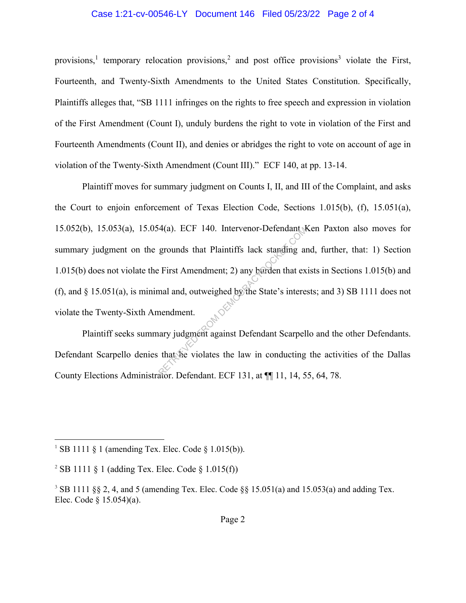#### Case 1:21-cv-00546-LY Document 146 Filed 05/23/22 Page 2 of 4

provisions,<sup>1</sup> temporary relocation provisions,<sup>2</sup> and post office provisions<sup>3</sup> violate the First, Fourteenth, and Twenty-Sixth Amendments to the United States Constitution. Specifically, Plaintiffs alleges that, "SB 1111 infringes on the rights to free speech and expression in violation of the First Amendment (Count I), unduly burdens the right to vote in violation of the First and Fourteenth Amendments (Count II), and denies or abridges the right to vote on account of age in violation of the Twenty-Sixth Amendment (Count III)." ECF 140, at pp. 13-14.

Plaintiff moves for summary judgment on Counts I, II, and III of the Complaint, and asks the Court to enjoin enforcement of Texas Election Code, Sections 1.015(b), (f), 15.051(a), 15.052(b), 15.053(a), 15.054(a). ECF 140. Intervenor-Defendant Ken Paxton also moves for summary judgment on the grounds that Plaintiffs lack standing and, further, that: 1) Section 1.015(b) does not violate the First Amendment; 2) any burden that exists in Sections 1.015(b) and (f), and § 15.051(a), is minimal and, outweighed by the State's interests; and 3) SB 1111 does not violate the Twenty-Sixth Amendment. 4(a). ECF 140. Intervenor-Detendant W<br>grounds that Plaintiffs lack standing an<br>expected by the State's intervenent<br>and and, outweighed by the State's intervenent<br>mendment.<br>ary judgment against Defendant Scarpel<br>that the vi

Plaintiff seeks summary judgment against Defendant Scarpello and the other Defendants. Defendant Scarpello denies that he violates the law in conducting the activities of the Dallas County Elections Administrator. Defendant. ECF 131, at ¶¶ 11, 14, 55, 64, 78.

<sup>&</sup>lt;sup>1</sup> SB 1111  $\frac{1}{2}$  1 (amending Tex. Elec. Code  $\frac{1}{2}$  1.015(b)).

<sup>&</sup>lt;sup>2</sup> SB 1111  $\S$  1 (adding Tex. Elec. Code  $\S$  1.015(f))

<sup>&</sup>lt;sup>3</sup> SB 1111 §§ 2, 4, and 5 (amending Tex. Elec. Code §§ 15.051(a) and 15.053(a) and adding Tex. Elec. Code § 15.054)(a).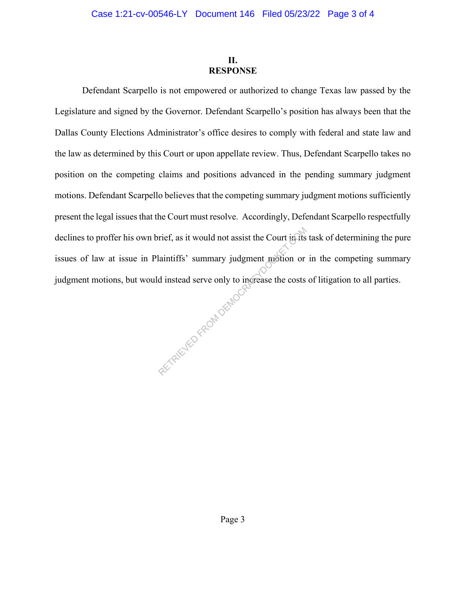### **II. RESPONSE**

Defendant Scarpello is not empowered or authorized to change Texas law passed by the Legislature and signed by the Governor. Defendant Scarpello's position has always been that the Dallas County Elections Administrator's office desires to comply with federal and state law and the law as determined by this Court or upon appellate review. Thus, Defendant Scarpello takes no position on the competing claims and positions advanced in the pending summary judgment motions. Defendant Scarpello believes that the competing summary judgment motions sufficiently present the legal issues that the Court must resolve. Accordingly, Defendant Scarpello respectfully declines to proffer his own brief, as it would not assist the Court in its task of determining the pure issues of law at issue in Plaintiffs' summary judgment motion or in the competing summary judgment motions, but would instead serve only to increase the costs of litigation to all parties. O in Complete Rom DEMOCRA